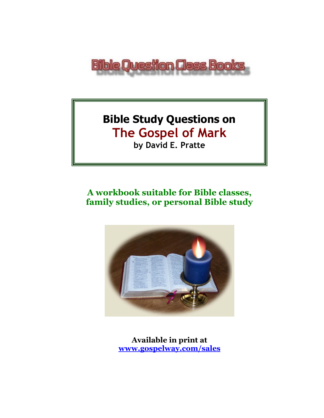

# **Bible Study Questions on The Gospel of Mark**

**by David E. Pratte**

# **A workbook suitable for Bible classes, family studies, or personal Bible study**



**Available in print at [www.gospelway.com/sales](https://www.gospelway.com/sales)**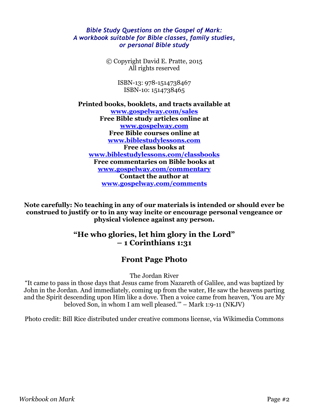#### *Bible Study Questions on the Gospel of Mark: A workbook suitable for Bible classes, family studies, or personal Bible study*

© Copyright David E. Pratte, 2015 All rights reserved

> ISBN-13: 978-1514738467 ISBN-10: 1514738465

**Printed books, booklets, and tracts available at [www.gospelway.com/sales](https://www.gospelway.com/sales) Free Bible study articles online at [www.gospelway.com](http://www.gospelway.com/) Free Bible courses online at [www.biblestudylessons.com](http://www.biblestudylessons.com/) Free class books at [www.biblestudylessons.com/classbooks](http://www.biblestudylessons.com/classbooks) Free commentaries on Bible books at [www.gospelway.com/commentary](http://www.gospelway.com/commentary) Contact the author at [www.gospelway.com/comments](http://www.gospelway.com/comments)**

**Note carefully: No teaching in any of our materials is intended or should ever be construed to justify or to in any way incite or encourage personal vengeance or physical violence against any person.**

#### **"He who glories, let him glory in the Lord" – 1 Corinthians 1:31**

### **Front Page Photo**

The Jordan River

"It came to pass in those days that Jesus came from Nazareth of Galilee, and was baptized by John in the Jordan. And immediately, coming up from the water, He saw the heavens parting and the Spirit descending upon Him like a dove. Then a voice came from heaven, 'You are My beloved Son, in whom I am well pleased.'" – Mark 1:9-11 (NKJV)

Photo credit: Bill Rice distributed under creative commons license, via Wikimedia Commons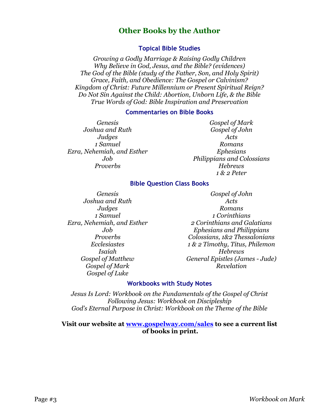#### **Other Books by the Author**

#### **Topical Bible Studies**

*Growing a Godly Marriage & Raising Godly Children Why Believe in God, Jesus, and the Bible? (evidences) The God of the Bible (study of the Father, Son, and Holy Spirit) Grace, Faith, and Obedience: The Gospel or Calvinism? Kingdom of Christ: Future Millennium or Present Spiritual Reign? Do Not Sin Against the Child: Abortion, Unborn Life, & the Bible True Words of God: Bible Inspiration and Preservation*

#### **Commentaries on Bible Books**

*Genesis Joshua and Ruth Judges 1 Samuel Ezra, Nehemiah, and Esther Job Proverbs*

*Gospel of Mark Gospel of John Acts Romans Ephesians Philippians and Colossians Hebrews 1 & 2 Peter*

#### **Bible Question Class Books**

*Genesis Joshua and Ruth Judges 1 Samuel Ezra, Nehemiah, and Esther Job Proverbs Ecclesiastes Isaiah Gospel of Matthew Gospel of Mark Gospel of Luke*

*Gospel of John Acts Romans 1 Corinthians 2 Corinthians and Galatians Ephesians and Philippians Colossians, 1&2 Thessalonians 1 & 2 Timothy, Titus, Philemon Hebrews General Epistles (James - Jude) Revelation*

#### **Workbooks with Study Notes**

*Jesus Is Lord: Workbook on the Fundamentals of the Gospel of Christ Following Jesus: Workbook on Discipleship God's Eternal Purpose in Christ: Workbook on the Theme of the Bible*

#### **Visit our website at [www.gospelway.com/sales](https://www.gospelway.com/sales) to see a current list of books in print.**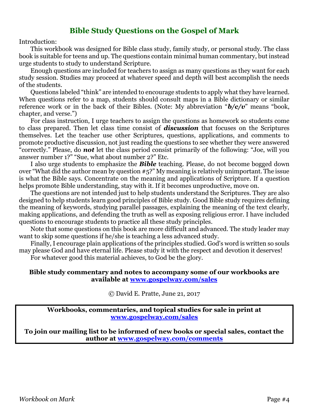#### **Bible Study Questions on the Gospel of Mark**

Introduction:

This workbook was designed for Bible class study, family study, or personal study. The class book is suitable for teens and up. The questions contain minimal human commentary, but instead urge students to study to understand Scripture.

Enough questions are included for teachers to assign as many questions as they want for each study session. Studies may proceed at whatever speed and depth will best accomplish the needs of the students.

Questions labeled "think" are intended to encourage students to apply what they have learned. When questions refer to a map, students should consult maps in a Bible dictionary or similar reference work or in the back of their Bibles. (Note: My abbreviation "*b/c/v*" means "book, chapter, and verse.")

For class instruction, I urge teachers to assign the questions as homework so students come to class prepared. Then let class time consist of *discussion* that focuses on the Scriptures themselves. Let the teacher use other Scriptures, questions, applications, and comments to promote productive discussion, not just reading the questions to see whether they were answered "correctly." Please, do *not* let the class period consist primarily of the following: "Joe, will you answer number 1?" "Sue, what about number 2?" Etc.

I also urge students to emphasize the *Bible* teaching. Please, do not become bogged down over "What did the author mean by question #5?" My meaning is relatively unimportant. The issue is what the Bible says. Concentrate on the meaning and applications of Scripture. If a question helps promote Bible understanding, stay with it. If it becomes unproductive, move on.

The questions are not intended just to help students understand the Scriptures. They are also designed to help students learn good principles of Bible study. Good Bible study requires defining the meaning of keywords, studying parallel passages, explaining the meaning of the text clearly, making applications, and defending the truth as well as exposing religious error. I have included questions to encourage students to practice all these study principles.

Note that some questions on this book are more difficult and advanced. The study leader may want to skip some questions if he/she is teaching a less advanced study.

Finally, I encourage plain applications of the principles studied. God's word is written so souls may please God and have eternal life. Please study it with the respect and devotion it deserves! For whatever good this material achieves, to God be the glory.

#### **Bible study commentary and notes to accompany some of our workbooks are available at [www.gospelway.com/sales](https://www.gospelway.com/sales)**

© David E. Pratte, June 21, 2017

**Workbooks, commentaries, and topical studies for sale in print at [www.gospelway.com/sales](https://www.gospelway.com/sales)**

**To join our mailing list to be informed of new books or special sales, contact the author at [www.gospelway.com/comments](http://www.gospelway.com/comments)**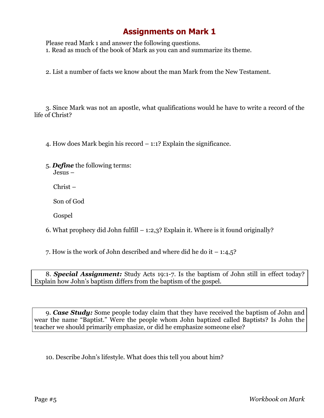Please read Mark 1 and answer the following questions. 1. Read as much of the book of Mark as you can and summarize its theme.

2. List a number of facts we know about the man Mark from the New Testament.

3. Since Mark was not an apostle, what qualifications would he have to write a record of the life of Christ?

4. How does Mark begin his record – 1:1? Explain the significance.

5. *Define* the following terms: Jesus –

Christ –

Son of God

Gospel

6. What prophecy did John fulfill – 1:2,3? Explain it. Where is it found originally?

7. How is the work of John described and where did he do it  $-1:4,5$ ?

8. *Special Assignment:* Study Acts 19:1-7. Is the baptism of John still in effect today? Explain how John's baptism differs from the baptism of the gospel.

9. *Case Study:* Some people today claim that they have received the baptism of John and wear the name "Baptist." Were the people whom John baptized called Baptists? Is John the teacher we should primarily emphasize, or did he emphasize someone else?

10. Describe John's lifestyle. What does this tell you about him?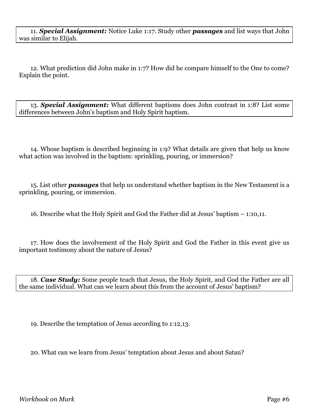11. *Special Assignment:* Notice Luke 1:17. Study other *passages* and list ways that John was similar to Elijah.

12. What prediction did John make in 1:7? How did he compare himself to the One to come? Explain the point.

13. *Special Assignment:* What different baptisms does John contrast in 1:8? List some differences between John's baptism and Holy Spirit baptism.

14. Whose baptism is described beginning in 1:9? What details are given that help us know what action was involved in the baptism: sprinkling, pouring, or immersion?

15. List other *passages* that help us understand whether baptism in the New Testament is a sprinkling, pouring, or immersion.

16. Describe what the Holy Spirit and God the Father did at Jesus' baptism – 1:10,11.

17. How does the involvement of the Holy Spirit and God the Father in this event give us important testimony about the nature of Jesus?

18. *Case Study:* Some people teach that Jesus, the Holy Spirit, and God the Father are all the same individual. What can we learn about this from the account of Jesus' baptism?

19. Describe the temptation of Jesus according to 1:12,13.

20. What can we learn from Jesus' temptation about Jesus and about Satan?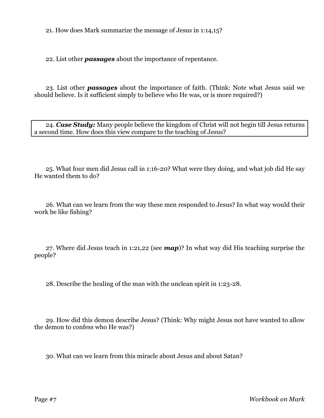21. How does Mark summarize the message of Jesus in 1:14,15?

22. List other *passages* about the importance of repentance.

23. List other *passages* about the importance of faith. (Think: Note what Jesus said we should believe. Is it sufficient simply to believe who He was, or is more required?)

24. *Case Study:* Many people believe the kingdom of Christ will not begin till Jesus returns a second time. How does this view compare to the teaching of Jesus?

25. What four men did Jesus call in 1:16-20? What were they doing, and what job did He say He wanted them to do?

26. What can we learn from the way these men responded to Jesus? In what way would their work be like fishing?

27. Where did Jesus teach in 1:21,22 (see *map*)? In what way did His teaching surprise the people?

28. Describe the healing of the man with the unclean spirit in 1:23-28.

29. How did this demon describe Jesus? (Think: Why might Jesus not have wanted to allow the demon to confess who He was?)

30. What can we learn from this miracle about Jesus and about Satan?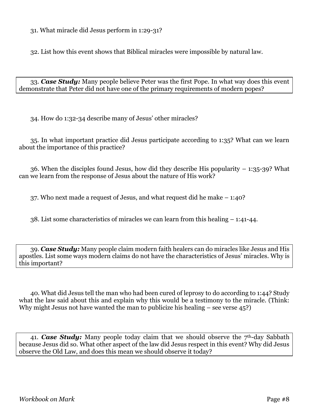31. What miracle did Jesus perform in 1:29-31?

32. List how this event shows that Biblical miracles were impossible by natural law.

33. *Case Study:* Many people believe Peter was the first Pope. In what way does this event demonstrate that Peter did not have one of the primary requirements of modern popes?

34. How do 1:32-34 describe many of Jesus' other miracles?

35. In what important practice did Jesus participate according to 1:35? What can we learn about the importance of this practice?

36. When the disciples found Jesus, how did they describe His popularity – 1:35-39? What can we learn from the response of Jesus about the nature of His work?

37. Who next made a request of Jesus, and what request did he make – 1:40?

38. List some characteristics of miracles we can learn from this healing – 1:41-44.

39. *Case Study:* Many people claim modern faith healers can do miracles like Jesus and His apostles. List some ways modern claims do not have the characteristics of Jesus' miracles. Why is this important?

40. What did Jesus tell the man who had been cured of leprosy to do according to 1:44? Study what the law said about this and explain why this would be a testimony to the miracle. (Think: Why might Jesus not have wanted the man to publicize his healing – see verse 45?)

41. *Case Study:* Many people today claim that we should observe the 7th-day Sabbath because Jesus did so. What other aspect of the law did Jesus respect in this event? Why did Jesus observe the Old Law, and does this mean we should observe it today?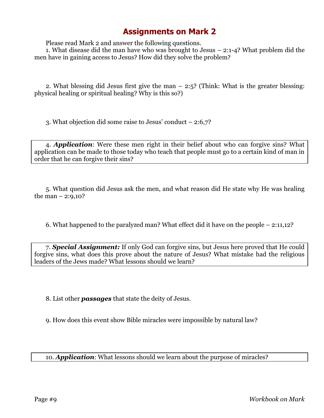Please read Mark 2 and answer the following questions.

1. What disease did the man have who was brought to Jesus – 2:1-4? What problem did the men have in gaining access to Jesus? How did they solve the problem?

2. What blessing did Jesus first give the man – 2:5? (Think: What is the greater blessing: physical healing or spiritual healing? Why is this so?)

3. What objection did some raise to Jesus' conduct – 2:6,7?

4. *Application*: Were these men right in their belief about who can forgive sins? What application can be made to those today who teach that people must go to a certain kind of man in order that he can forgive their sins?

5. What question did Jesus ask the men, and what reason did He state why He was healing the man  $- 2:9,10?$ 

6. What happened to the paralyzed man? What effect did it have on the people – 2:11,12?

7. *Special Assignment:* If only God can forgive sins, but Jesus here proved that He could forgive sins, what does this prove about the nature of Jesus? What mistake had the religious leaders of the Jews made? What lessons should we learn?

8. List other *passages* that state the deity of Jesus.

9. How does this event show Bible miracles were impossible by natural law?

10. *Application*: What lessons should we learn about the purpose of miracles?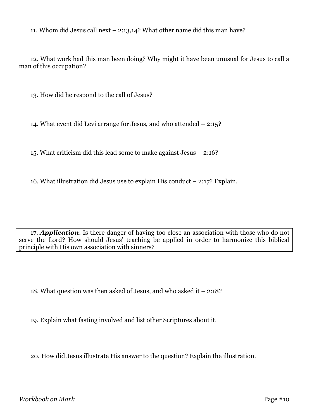11. Whom did Jesus call next – 2:13,14? What other name did this man have?

12. What work had this man been doing? Why might it have been unusual for Jesus to call a man of this occupation?

13. How did he respond to the call of Jesus?

14. What event did Levi arrange for Jesus, and who attended – 2:15?

15. What criticism did this lead some to make against Jesus – 2:16?

16. What illustration did Jesus use to explain His conduct – 2:17? Explain.

17. *Application*: Is there danger of having too close an association with those who do not serve the Lord? How should Jesus' teaching be applied in order to harmonize this biblical principle with His own association with sinners?

18. What question was then asked of Jesus, and who asked it – 2:18?

19. Explain what fasting involved and list other Scriptures about it.

20. How did Jesus illustrate His answer to the question? Explain the illustration.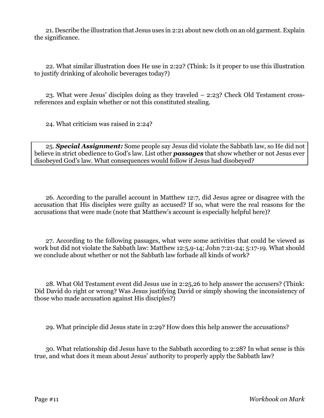21. Describe the illustration that Jesus uses in 2:21 about new cloth on an old garment. Explain the significance.

22. What similar illustration does He use in 2:22? (Think: Is it proper to use this illustration to justify drinking of alcoholic beverages today?)

23. What were Jesus' disciples doing as they traveled – 2:23? Check Old Testament crossreferences and explain whether or not this constituted stealing.

24. What criticism was raised in 2:24?

25. *Special Assignment:* Some people say Jesus did violate the Sabbath law, so He did not believe in strict obedience to God's law. List other *passages* that show whether or not Jesus ever disobeyed God's law. What consequences would follow if Jesus had disobeyed?

26. According to the parallel account in Matthew 12:7, did Jesus agree or disagree with the accusation that His disciples were guilty as accused? If so, what were the real reasons for the accusations that were made (note that Matthew's account is especially helpful here)?

27. According to the following passages, what were some activities that could be viewed as work but did not violate the Sabbath law: Matthew 12:5,9-14; John 7:21-24; 5:17-19. What should we conclude about whether or not the Sabbath law forbade all kinds of work?

28. What Old Testament event did Jesus use in 2:25,26 to help answer the accusers? (Think: Did David do right or wrong? Was Jesus justifying David or simply showing the inconsistency of those who made accusation against His disciples?)

29. What principle did Jesus state in 2:29? How does this help answer the accusations?

30. What relationship did Jesus have to the Sabbath according to 2:28? In what sense is this true, and what does it mean about Jesus' authority to properly apply the Sabbath law?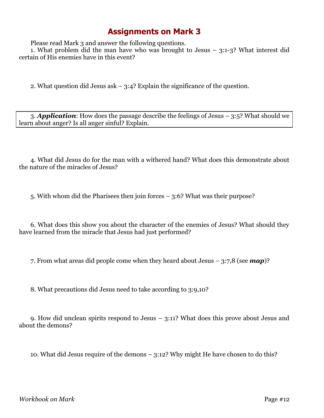Please read Mark 3 and answer the following questions.

1. What problem did the man have who was brought to Jesus – 3:1-3? What interest did certain of His enemies have in this event?

2. What question did Jesus ask – 3:4? Explain the significance of the question.

3. *Application*: How does the passage describe the feelings of Jesus – 3:5? What should we learn about anger? Is all anger sinful? Explain.

4. What did Jesus do for the man with a withered hand? What does this demonstrate about the nature of the miracles of Jesus?

5. With whom did the Pharisees then join forces – 3:6? What was their purpose?

6. What does this show you about the character of the enemies of Jesus? What should they have learned from the miracle that Jesus had just performed?

7. From what areas did people come when they heard about Jesus – 3:7,8 (see *map*)?

8. What precautions did Jesus need to take according to 3:9,10?

9. How did unclean spirits respond to Jesus – 3:11? What does this prove about Jesus and about the demons?

10. What did Jesus require of the demons – 3:12? Why might He have chosen to do this?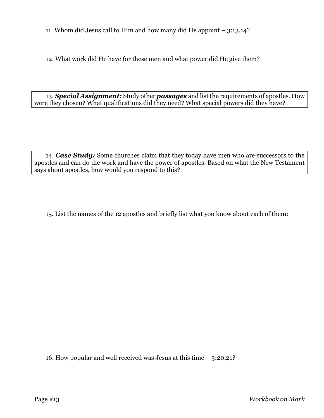11. Whom did Jesus call to Him and how many did He appoint – 3:13,14?

12. What work did He have for these men and what power did He give them?

13. *Special Assignment:* Study other *passages* and list the requirements of apostles. How were they chosen? What qualifications did they need? What special powers did they have?

14. *Case Study:* Some churches claim that they today have men who are successors to the apostles and can do the work and have the power of apostles. Based on what the New Testament says about apostles, how would you respond to this?

15. List the names of the 12 apostles and briefly list what you know about each of them:

16. How popular and well received was Jesus at this time – 3:20,21?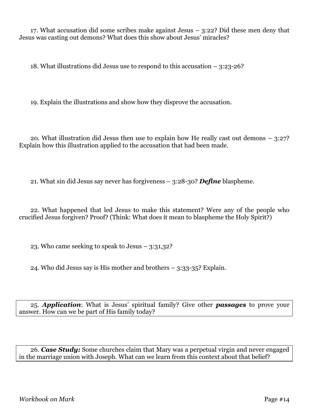17. What accusation did some scribes make against Jesus – 3:22? Did these men deny that Jesus was casting out demons? What does this show about Jesus' miracles?

18. What illustrations did Jesus use to respond to this accusation – 3:23-26?

19. Explain the illustrations and show how they disprove the accusation.

20. What illustration did Jesus then use to explain how He really cast out demons – 3:27? Explain how this illustration applied to the accusation that had been made.

21. What sin did Jesus say never has forgiveness – 3:28-30? *Define* blaspheme.

22. What happened that led Jesus to make this statement? Were any of the people who crucified Jesus forgiven? Proof? (Think: What does it mean to blaspheme the Holy Spirit?)

23. Who came seeking to speak to Jesus – 3:31,32?

24. Who did Jesus say is His mother and brothers – 3:33-35? Explain.

25. *Application*: What is Jesus' spiritual family? Give other *passages* to prove your answer. How can we be part of His family today?

26. *Case Study:* Some churches claim that Mary was a perpetual virgin and never engaged in the marriage union with Joseph. What can we learn from this context about that belief?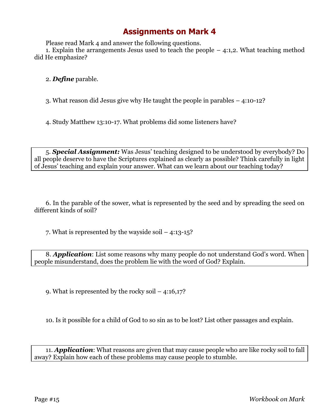Please read Mark 4 and answer the following questions.

1. Explain the arrangements Jesus used to teach the people – 4:1,2. What teaching method did He emphasize?

2. *Define* parable.

3. What reason did Jesus give why He taught the people in parables – 4:10-12?

4. Study Matthew 13:10-17. What problems did some listeners have?

5. *Special Assignment:* Was Jesus' teaching designed to be understood by everybody? Do all people deserve to have the Scriptures explained as clearly as possible? Think carefully in light of Jesus' teaching and explain your answer. What can we learn about our teaching today?

6. In the parable of the sower, what is represented by the seed and by spreading the seed on different kinds of soil?

7. What is represented by the wayside soil  $-4:13-15$ ?

8. *Application*: List some reasons why many people do not understand God's word. When people misunderstand, does the problem lie with the word of God? Explain.

9. What is represented by the rocky soil – 4:16,17?

10. Is it possible for a child of God to so sin as to be lost? List other passages and explain.

11. *Application*: What reasons are given that may cause people who are like rocky soil to fall away? Explain how each of these problems may cause people to stumble.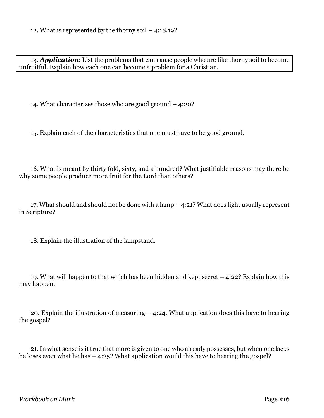13. *Application*: List the problems that can cause people who are like thorny soil to become unfruitful. Explain how each one can become a problem for a Christian.

14. What characterizes those who are good ground – 4:20?

15. Explain each of the characteristics that one must have to be good ground.

16. What is meant by thirty fold, sixty, and a hundred? What justifiable reasons may there be why some people produce more fruit for the Lord than others?

17. What should and should not be done with a lamp – 4:21? What does light usually represent in Scripture?

18. Explain the illustration of the lampstand.

19. What will happen to that which has been hidden and kept secret – 4:22? Explain how this may happen.

20. Explain the illustration of measuring – 4:24. What application does this have to hearing the gospel?

21. In what sense is it true that more is given to one who already possesses, but when one lacks he loses even what he has – 4:25? What application would this have to hearing the gospel?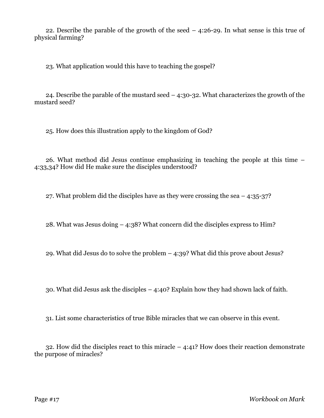22. Describe the parable of the growth of the seed – 4:26-29. In what sense is this true of physical farming?

23. What application would this have to teaching the gospel?

24. Describe the parable of the mustard seed – 4:30-32. What characterizes the growth of the mustard seed?

25. How does this illustration apply to the kingdom of God?

26. What method did Jesus continue emphasizing in teaching the people at this time – 4:33,34? How did He make sure the disciples understood?

27. What problem did the disciples have as they were crossing the sea – 4:35-37?

28. What was Jesus doing – 4:38? What concern did the disciples express to Him?

29. What did Jesus do to solve the problem – 4:39? What did this prove about Jesus?

30. What did Jesus ask the disciples – 4:40? Explain how they had shown lack of faith.

31. List some characteristics of true Bible miracles that we can observe in this event.

32. How did the disciples react to this miracle – 4:41? How does their reaction demonstrate the purpose of miracles?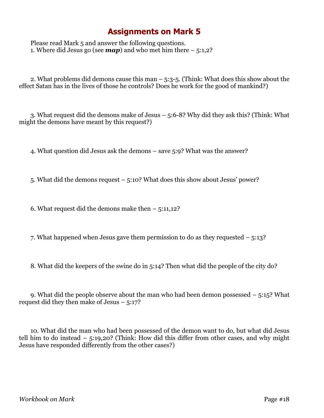Please read Mark 5 and answer the following questions. 1. Where did Jesus go (see  $map$ ) and who met him there  $-5:1,2$ ?

2. What problems did demons cause this man – 5:3-5. (Think: What does this show about the effect Satan has in the lives of those he controls? Does he work for the good of mankind?)

3. What request did the demons make of Jesus – 5:6-8? Why did they ask this? (Think: What might the demons have meant by this request?)

4. What question did Jesus ask the demons – save 5:9? What was the answer?

5. What did the demons request – 5:10? What does this show about Jesus' power?

6. What request did the demons make then  $-$  5:11,12?

7. What happened when Jesus gave them permission to do as they requested – 5:13?

8. What did the keepers of the swine do in 5:14? Then what did the people of the city do?

9. What did the people observe about the man who had been demon possessed – 5:15? What request did they then make of Jesus  $-5:17$ ?

10. What did the man who had been possessed of the demon want to do, but what did Jesus tell him to do instead – 5:19,20? (Think: How did this differ from other cases, and why might Jesus have responded differently from the other cases?)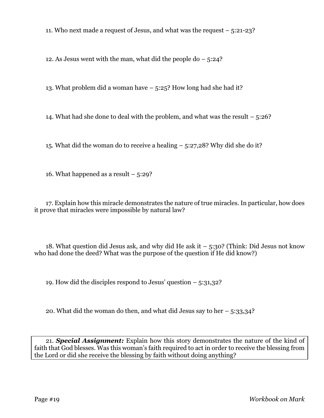11. Who next made a request of Jesus, and what was the request – 5:21-23?

12. As Jesus went with the man, what did the people do  $-5:24$ ?

13. What problem did a woman have – 5:25? How long had she had it?

14. What had she done to deal with the problem, and what was the result  $-5:26$ ?

15. What did the woman do to receive a healing – 5:27,28? Why did she do it?

16. What happened as a result – 5:29?

17. Explain how this miracle demonstrates the nature of true miracles. In particular, how does it prove that miracles were impossible by natural law?

18. What question did Jesus ask, and why did He ask it  $-$  5:30? (Think: Did Jesus not know who had done the deed? What was the purpose of the question if He did know?)

19. How did the disciples respond to Jesus' question  $-5:31,32$ ?

20. What did the woman do then, and what did Jesus say to her – 5:33,34?

21. *Special Assignment:* Explain how this story demonstrates the nature of the kind of faith that God blesses. Was this woman's faith required to act in order to receive the blessing from the Lord or did she receive the blessing by faith without doing anything?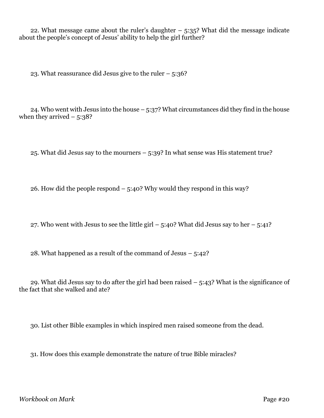22. What message came about the ruler's daughter  $-$  5:35? What did the message indicate about the people's concept of Jesus' ability to help the girl further?

23. What reassurance did Jesus give to the ruler – 5:36?

24. Who went with Jesus into the house  $-5:37$ ? What circumstances did they find in the house when they arrived  $-5:38$ ?

25. What did Jesus say to the mourners – 5:39? In what sense was His statement true?

26. How did the people respond – 5:40? Why would they respond in this way?

27. Who went with Jesus to see the little girl  $-$  5:40? What did Jesus say to her  $-$  5:41?

28. What happened as a result of the command of Jesus – 5:42?

29. What did Jesus say to do after the girl had been raised – 5:43? What is the significance of the fact that she walked and ate?

30. List other Bible examples in which inspired men raised someone from the dead.

31. How does this example demonstrate the nature of true Bible miracles?

*Workbook on Mark* Page #20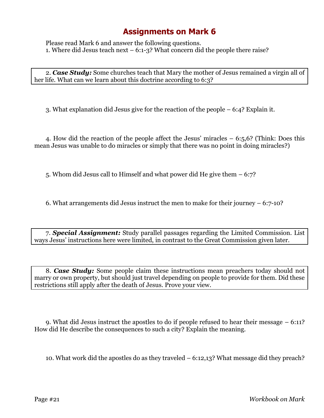Please read Mark 6 and answer the following questions. 1. Where did Jesus teach next – 6:1-3? What concern did the people there raise?

2. *Case Study:* Some churches teach that Mary the mother of Jesus remained a virgin all of her life. What can we learn about this doctrine according to 6:3?

3. What explanation did Jesus give for the reaction of the people – 6:4? Explain it.

4. How did the reaction of the people affect the Jesus' miracles – 6:5,6? (Think: Does this mean Jesus was unable to do miracles or simply that there was no point in doing miracles?)

5. Whom did Jesus call to Himself and what power did He give them – 6:7?

6. What arrangements did Jesus instruct the men to make for their journey – 6:7-10?

7. *Special Assignment:* Study parallel passages regarding the Limited Commission. List ways Jesus' instructions here were limited, in contrast to the Great Commission given later.

8. *Case Study:* Some people claim these instructions mean preachers today should not marry or own property, but should just travel depending on people to provide for them. Did these restrictions still apply after the death of Jesus. Prove your view.

9. What did Jesus instruct the apostles to do if people refused to hear their message – 6:11? How did He describe the consequences to such a city? Explain the meaning.

10. What work did the apostles do as they traveled – 6:12,13? What message did they preach?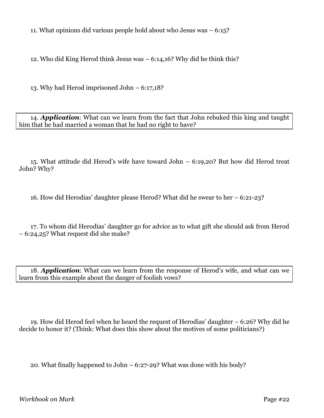11. What opinions did various people hold about who Jesus was – 6:15?

12. Who did King Herod think Jesus was – 6:14,16? Why did he think this?

13. Why had Herod imprisoned John – 6:17,18?

14. *Application*: What can we learn from the fact that John rebuked this king and taught him that he had married a woman that he had no right to have?

15. What attitude did Herod's wife have toward John – 6:19,20? But how did Herod treat John? Why?

16. How did Herodias' daughter please Herod? What did he swear to her – 6:21-23?

17. To whom did Herodias' daughter go for advice as to what gift she should ask from Herod – 6:24,25? What request did she make?

18. *Application*: What can we learn from the response of Herod's wife, and what can we learn from this example about the danger of foolish vows?

19. How did Herod feel when he heard the request of Herodias' daughter – 6:26? Why did he decide to honor it? (Think: What does this show about the motives of some politicians?)

20. What finally happened to John – 6:27-29? What was done with his body?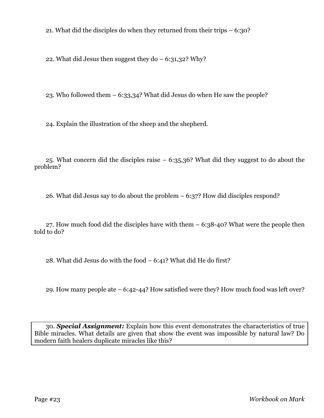21. What did the disciples do when they returned from their trips – 6:30?

22. What did Jesus then suggest they  $do - 6:31,32$ ? Why?

23. Who followed them – 6:33,34? What did Jesus do when He saw the people?

24. Explain the illustration of the sheep and the shepherd.

25. What concern did the disciples raise – 6:35,36? What did they suggest to do about the problem?

26. What did Jesus say to do about the problem – 6:37? How did disciples respond?

27. How much food did the disciples have with them  $-6:38-40$ ? What were the people then told to do?

28. What did Jesus do with the food – 6:41? What did He do first?

29. How many people ate – 6:42-44? How satisfied were they? How much food was left over?

30. *Special Assignment:* Explain how this event demonstrates the characteristics of true Bible miracles. What details are given that show the event was impossible by natural law? Do modern faith healers duplicate miracles like this?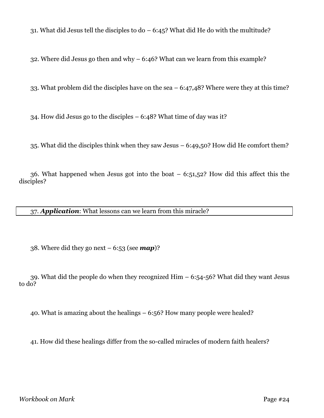31. What did Jesus tell the disciples to  $d_0 - 6:45$ ? What did He do with the multitude?

32. Where did Jesus go then and why – 6:46? What can we learn from this example?

33. What problem did the disciples have on the sea – 6:47,48? Where were they at this time?

34. How did Jesus go to the disciples – 6:48? What time of day was it?

35. What did the disciples think when they saw Jesus – 6:49,50? How did He comfort them?

36. What happened when Jesus got into the boat  $-$  6:51,52? How did this affect this the disciples?

#### 37. *Application*: What lessons can we learn from this miracle?

38. Where did they go next – 6:53 (see *map*)?

39. What did the people do when they recognized Him – 6:54-56? What did they want Jesus to do?

40. What is amazing about the healings – 6:56? How many people were healed?

41. How did these healings differ from the so-called miracles of modern faith healers?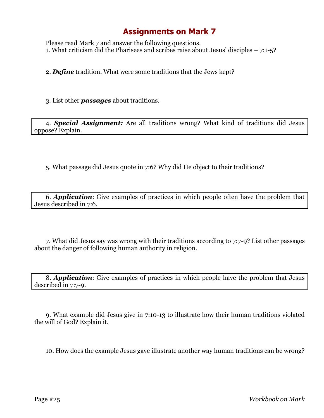Please read Mark 7 and answer the following questions. 1. What criticism did the Pharisees and scribes raise about Jesus' disciples – 7:1-5?

2. *Define* tradition. What were some traditions that the Jews kept?

3. List other *passages* about traditions.

4. *Special Assignment:* Are all traditions wrong? What kind of traditions did Jesus oppose? Explain.

5. What passage did Jesus quote in 7:6? Why did He object to their traditions?

6. *Application*: Give examples of practices in which people often have the problem that Jesus described in 7:6.

7. What did Jesus say was wrong with their traditions according to 7:7-9? List other passages about the danger of following human authority in religion.

8. *Application*: Give examples of practices in which people have the problem that Jesus described in 7:7-9.

9. What example did Jesus give in 7:10-13 to illustrate how their human traditions violated the will of God? Explain it.

10. How does the example Jesus gave illustrate another way human traditions can be wrong?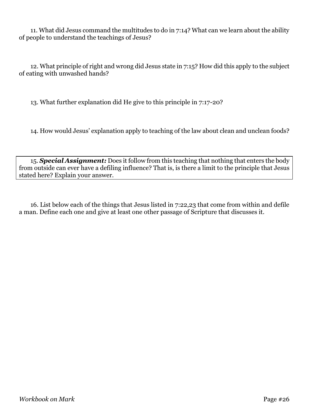11. What did Jesus command the multitudes to do in 7:14? What can we learn about the ability of people to understand the teachings of Jesus?

12. What principle of right and wrong did Jesus state in 7:15? How did this apply to the subject of eating with unwashed hands?

13. What further explanation did He give to this principle in 7:17-20?

14. How would Jesus' explanation apply to teaching of the law about clean and unclean foods?

15. *Special Assignment:* Does it follow from this teaching that nothing that enters the body from outside can ever have a defiling influence? That is, is there a limit to the principle that Jesus stated here? Explain your answer.

16. List below each of the things that Jesus listed in 7:22,23 that come from within and defile a man. Define each one and give at least one other passage of Scripture that discusses it.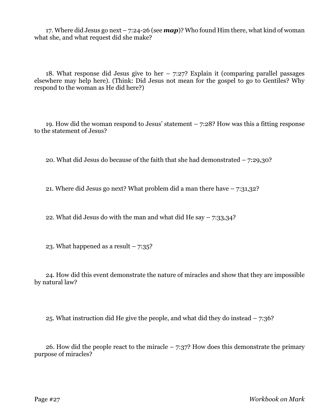17. Where did Jesus go next – 7:24-26 (see *map*)? Who found Him there, what kind of woman what she, and what request did she make?

18. What response did Jesus give to her  $-7:27$ ? Explain it (comparing parallel passages elsewhere may help here). (Think: Did Jesus not mean for the gospel to go to Gentiles? Why respond to the woman as He did here?)

19. How did the woman respond to Jesus' statement – 7:28? How was this a fitting response to the statement of Jesus?

20. What did Jesus do because of the faith that she had demonstrated – 7:29,30?

21. Where did Jesus go next? What problem did a man there have  $-7:31,32$ ?

22. What did Jesus do with the man and what did He say  $-7:33,34$ ?

23. What happened as a result  $-7:35$ ?

24. How did this event demonstrate the nature of miracles and show that they are impossible by natural law?

25. What instruction did He give the people, and what did they do instead  $-7:36$ ?

26. How did the people react to the miracle  $-7:37$ ? How does this demonstrate the primary purpose of miracles?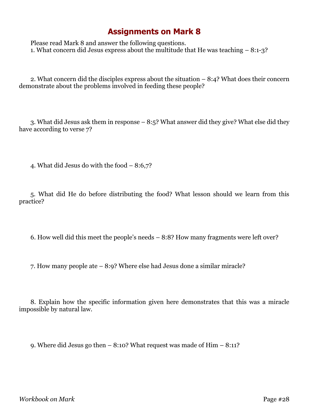Please read Mark 8 and answer the following questions. 1. What concern did Jesus express about the multitude that He was teaching – 8:1-3?

2. What concern did the disciples express about the situation – 8:4? What does their concern demonstrate about the problems involved in feeding these people?

3. What did Jesus ask them in response – 8:5? What answer did they give? What else did they have according to verse 7?

4. What did Jesus do with the food – 8:6,7?

5. What did He do before distributing the food? What lesson should we learn from this practice?

6. How well did this meet the people's needs – 8:8? How many fragments were left over?

7. How many people ate – 8:9? Where else had Jesus done a similar miracle?

8. Explain how the specific information given here demonstrates that this was a miracle impossible by natural law.

9. Where did Jesus go then – 8:10? What request was made of Him – 8:11?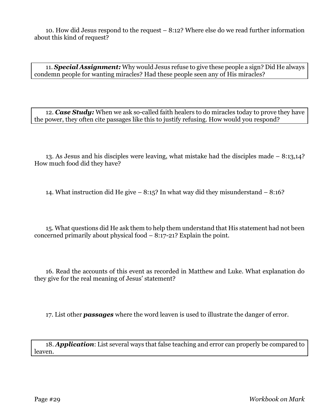10. How did Jesus respond to the request – 8:12? Where else do we read further information about this kind of request?

11. *Special Assignment:* Why would Jesus refuse to give these people a sign? Did He always condemn people for wanting miracles? Had these people seen any of His miracles?

12. *Case Study:* When we ask so-called faith healers to do miracles today to prove they have the power, they often cite passages like this to justify refusing. How would you respond?

13. As Jesus and his disciples were leaving, what mistake had the disciples made – 8:13,14? How much food did they have?

14. What instruction did He give – 8:15? In what way did they misunderstand – 8:16?

15. What questions did He ask them to help them understand that His statement had not been concerned primarily about physical food  $-8:17-21$ ? Explain the point.

16. Read the accounts of this event as recorded in Matthew and Luke. What explanation do they give for the real meaning of Jesus' statement?

17. List other *passages* where the word leaven is used to illustrate the danger of error.

18. *Application*: List several ways that false teaching and error can properly be compared to leaven.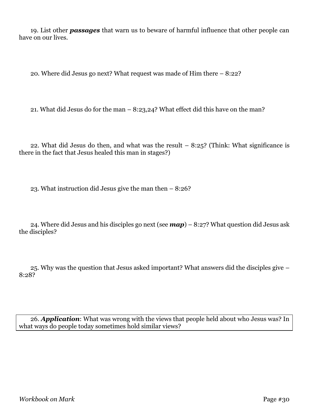19. List other *passages* that warn us to beware of harmful influence that other people can have on our lives.

20. Where did Jesus go next? What request was made of Him there – 8:22?

21. What did Jesus do for the man – 8:23,24? What effect did this have on the man?

22. What did Jesus do then, and what was the result  $-8:25$ ? (Think: What significance is there in the fact that Jesus healed this man in stages?)

23. What instruction did Jesus give the man then – 8:26?

24. Where did Jesus and his disciples go next (see *map*) – 8:27? What question did Jesus ask the disciples?

25. Why was the question that Jesus asked important? What answers did the disciples give – 8:28?

26. *Application*: What was wrong with the views that people held about who Jesus was? In what ways do people today sometimes hold similar views?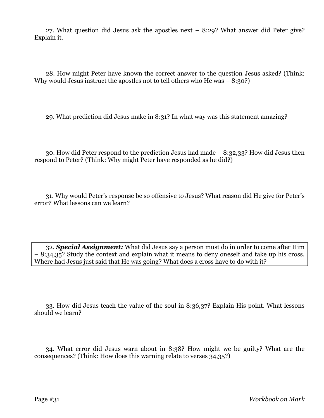27. What question did Jesus ask the apostles next – 8:29? What answer did Peter give? Explain it.

28. How might Peter have known the correct answer to the question Jesus asked? (Think: Why would Jesus instruct the apostles not to tell others who He was  $-8:30$ ?)

29. What prediction did Jesus make in 8:31? In what way was this statement amazing?

30. How did Peter respond to the prediction Jesus had made – 8:32,33? How did Jesus then respond to Peter? (Think: Why might Peter have responded as he did?)

31. Why would Peter's response be so offensive to Jesus? What reason did He give for Peter's error? What lessons can we learn?

32. *Special Assignment:* What did Jesus say a person must do in order to come after Him – 8:34,35? Study the context and explain what it means to deny oneself and take up his cross. Where had Jesus just said that He was going? What does a cross have to do with it?

33. How did Jesus teach the value of the soul in 8:36,37? Explain His point. What lessons should we learn?

34. What error did Jesus warn about in 8:38? How might we be guilty? What are the consequences? (Think: How does this warning relate to verses 34,35?)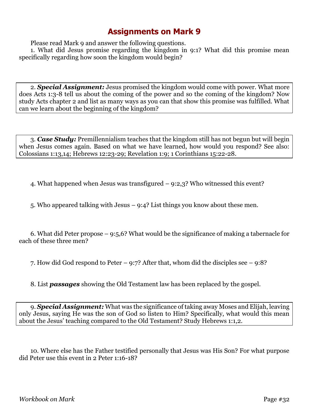Please read Mark 9 and answer the following questions.

1. What did Jesus promise regarding the kingdom in 9:1? What did this promise mean specifically regarding how soon the kingdom would begin?

2. *Special Assignment:* Jesus promised the kingdom would come with power. What more does Acts 1:3-8 tell us about the coming of the power and so the coming of the kingdom? Now study Acts chapter 2 and list as many ways as you can that show this promise was fulfilled. What can we learn about the beginning of the kingdom?

3. *Case Study:* Premillennialism teaches that the kingdom still has not begun but will begin when Jesus comes again. Based on what we have learned, how would you respond? See also: Colossians 1:13,14; Hebrews 12:23-29; Revelation 1:9; 1 Corinthians 15:22-28.

4. What happened when Jesus was transfigured – 9:2,3? Who witnessed this event?

5. Who appeared talking with Jesus – 9:4? List things you know about these men.

6. What did Peter propose – 9:5,6? What would be the significance of making a tabernacle for each of these three men?

7. How did God respond to Peter – 9:7? After that, whom did the disciples see – 9:8?

8. List *passages* showing the Old Testament law has been replaced by the gospel.

9. *Special Assignment:* What was the significance of taking away Moses and Elijah, leaving only Jesus, saying He was the son of God so listen to Him? Specifically, what would this mean about the Jesus' teaching compared to the Old Testament? Study Hebrews 1:1,2.

10. Where else has the Father testified personally that Jesus was His Son? For what purpose did Peter use this event in 2 Peter 1:16-18?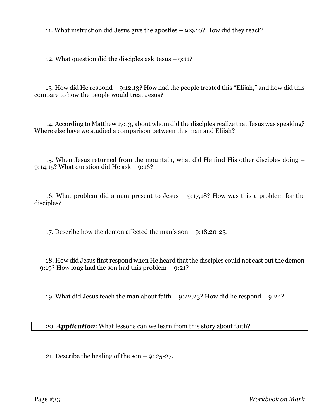11. What instruction did Jesus give the apostles – 9:9,10? How did they react?

12. What question did the disciples ask Jesus – 9:11?

13. How did He respond – 9:12,13? How had the people treated this "Elijah," and how did this compare to how the people would treat Jesus?

14. According to Matthew 17:13, about whom did the disciples realize that Jesus was speaking? Where else have we studied a comparison between this man and Elijah?

15. When Jesus returned from the mountain, what did He find His other disciples doing – 9:14,15? What question did He ask  $-$  9:16?

16. What problem did a man present to Jesus – 9:17,18? How was this a problem for the disciples?

17. Describe how the demon affected the man's son – 9:18,20-23.

18. How did Jesus first respond when He heard that the disciples could not cast out the demon – 9:19? How long had the son had this problem – 9:21?

19. What did Jesus teach the man about faith – 9:22,23? How did he respond – 9:24?

20. *Application*: What lessons can we learn from this story about faith?

21. Describe the healing of the son – 9: 25-27.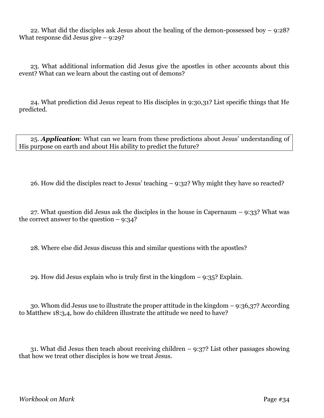22. What did the disciples ask Jesus about the healing of the demon-possessed boy – 9:28? What response did Jesus give – 9:29?

23. What additional information did Jesus give the apostles in other accounts about this event? What can we learn about the casting out of demons?

24. What prediction did Jesus repeat to His disciples in 9:30,31? List specific things that He predicted.

25. *Application*: What can we learn from these predictions about Jesus' understanding of His purpose on earth and about His ability to predict the future?

26. How did the disciples react to Jesus' teaching – 9:32? Why might they have so reacted?

27. What question did Jesus ask the disciples in the house in Capernaum  $-$  9:33? What was the correct answer to the question  $-9:34$ ?

28. Where else did Jesus discuss this and similar questions with the apostles?

29. How did Jesus explain who is truly first in the kingdom – 9:35? Explain.

30. Whom did Jesus use to illustrate the proper attitude in the kingdom – 9:36,37? According to Matthew 18:3,4, how do children illustrate the attitude we need to have?

31. What did Jesus then teach about receiving children – 9:37? List other passages showing that how we treat other disciples is how we treat Jesus.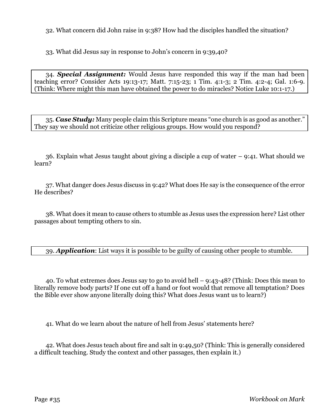32. What concern did John raise in 9:38? How had the disciples handled the situation?

33. What did Jesus say in response to John's concern in 9:39,40?

34. *Special Assignment:* Would Jesus have responded this way if the man had been teaching error? Consider Acts 19:13-17; Matt. 7:15-23; 1 Tim. 4:1-3; 2 Tim. 4:2-4; Gal. 1:6-9. (Think: Where might this man have obtained the power to do miracles? Notice Luke 10:1-17.)

35. *Case Study:* Many people claim this Scripture means "one church is as good as another." They say we should not criticize other religious groups. How would you respond?

36. Explain what Jesus taught about giving a disciple a cup of water – 9:41. What should we learn?

37. What danger does Jesus discuss in 9:42? What does He say is the consequence of the error He describes?

38. What does it mean to cause others to stumble as Jesus uses the expression here? List other passages about tempting others to sin.

39. *Application*: List ways it is possible to be guilty of causing other people to stumble.

40. To what extremes does Jesus say to go to avoid hell – 9:43-48? (Think: Does this mean to literally remove body parts? If one cut off a hand or foot would that remove all temptation? Does the Bible ever show anyone literally doing this? What does Jesus want us to learn?)

41. What do we learn about the nature of hell from Jesus' statements here?

42. What does Jesus teach about fire and salt in 9:49,50? (Think: This is generally considered a difficult teaching. Study the context and other passages, then explain it.)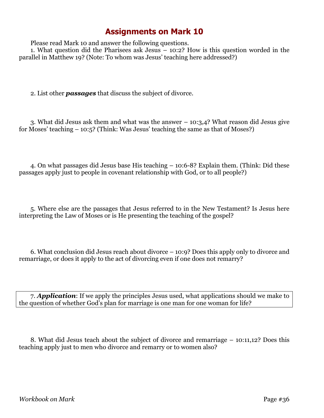Please read Mark 10 and answer the following questions.

1. What question did the Pharisees ask Jesus – 10:2? How is this question worded in the parallel in Matthew 19? (Note: To whom was Jesus' teaching here addressed?)

2. List other *passages* that discuss the subject of divorce.

3. What did Jesus ask them and what was the answer – 10:3,4? What reason did Jesus give for Moses' teaching – 10:5? (Think: Was Jesus' teaching the same as that of Moses?)

4. On what passages did Jesus base His teaching – 10:6-8? Explain them. (Think: Did these passages apply just to people in covenant relationship with God, or to all people?)

5. Where else are the passages that Jesus referred to in the New Testament? Is Jesus here interpreting the Law of Moses or is He presenting the teaching of the gospel?

6. What conclusion did Jesus reach about divorce – 10:9? Does this apply only to divorce and remarriage, or does it apply to the act of divorcing even if one does not remarry?

7. *Application*: If we apply the principles Jesus used, what applications should we make to the question of whether God's plan for marriage is one man for one woman for life?

8. What did Jesus teach about the subject of divorce and remarriage – 10:11,12? Does this teaching apply just to men who divorce and remarry or to women also?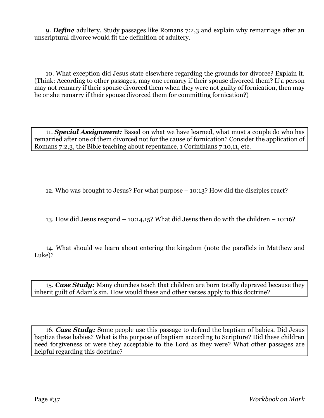9. *Define* adultery. Study passages like Romans 7:2,3 and explain why remarriage after an unscriptural divorce would fit the definition of adultery.

10. What exception did Jesus state elsewhere regarding the grounds for divorce? Explain it. (Think: According to other passages, may one remarry if their spouse divorced them? If a person may not remarry if their spouse divorced them when they were not guilty of fornication, then may he or she remarry if their spouse divorced them for committing fornication?)

11. *Special Assignment:* Based on what we have learned, what must a couple do who has remarried after one of them divorced not for the cause of fornication? Consider the application of Romans 7:2,3, the Bible teaching about repentance, 1 Corinthians 7:10,11, etc.

12. Who was brought to Jesus? For what purpose – 10:13? How did the disciples react?

13. How did Jesus respond – 10:14,15? What did Jesus then do with the children – 10:16?

14. What should we learn about entering the kingdom (note the parallels in Matthew and Luke)?

15. *Case Study:* Many churches teach that children are born totally depraved because they inherit guilt of Adam's sin. How would these and other verses apply to this doctrine?

16. *Case Study:* Some people use this passage to defend the baptism of babies. Did Jesus baptize these babies? What is the purpose of baptism according to Scripture? Did these children need forgiveness or were they acceptable to the Lord as they were? What other passages are helpful regarding this doctrine?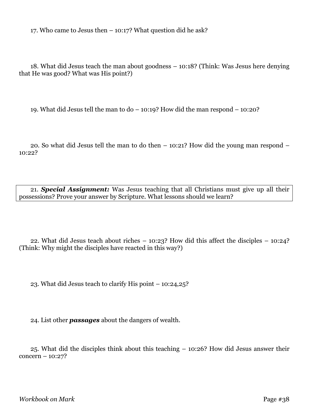17. Who came to Jesus then – 10:17? What question did he ask?

18. What did Jesus teach the man about goodness – 10:18? (Think: Was Jesus here denying that He was good? What was His point?)

19. What did Jesus tell the man to do – 10:19? How did the man respond – 10:20?

20. So what did Jesus tell the man to do then – 10:21? How did the young man respond – 10:22?

21. *Special Assignment:* Was Jesus teaching that all Christians must give up all their possessions? Prove your answer by Scripture. What lessons should we learn?

22. What did Jesus teach about riches – 10:23? How did this affect the disciples – 10:24? (Think: Why might the disciples have reacted in this way?)

23. What did Jesus teach to clarify His point – 10:24,25?

24. List other *passages* about the dangers of wealth.

25. What did the disciples think about this teaching – 10:26? How did Jesus answer their concern – 10:27?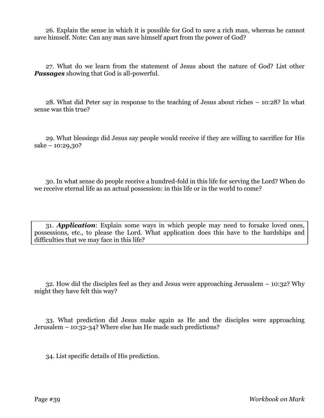26. Explain the sense in which it is possible for God to save a rich man, whereas he cannot save himself. Note: Can any man save himself apart from the power of God?

27. What do we learn from the statement of Jesus about the nature of God? List other *Passages* showing that God is all-powerful.

28. What did Peter say in response to the teaching of Jesus about riches – 10:28? In what sense was this true?

29. What blessings did Jesus say people would receive if they are willing to sacrifice for His  $sake - 10:29,30?$ 

30. In what sense do people receive a hundred-fold in this life for serving the Lord? When do we receive eternal life as an actual possession: in this life or in the world to come?

31. *Application*: Explain some ways in which people may need to forsake loved ones, possessions, etc., to please the Lord. What application does this have to the hardships and difficulties that we may face in this life?

32. How did the disciples feel as they and Jesus were approaching Jerusalem – 10:32? Why might they have felt this way?

33. What prediction did Jesus make again as He and the disciples were approaching Jerusalem – 10:32-34? Where else has He made such predictions?

34. List specific details of His prediction.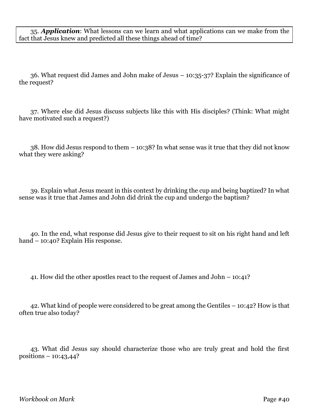35. *Application*: What lessons can we learn and what applications can we make from the fact that Jesus knew and predicted all these things ahead of time?

36. What request did James and John make of Jesus – 10:35-37? Explain the significance of the request?

37. Where else did Jesus discuss subjects like this with His disciples? (Think: What might have motivated such a request?)

38. How did Jesus respond to them – 10:38? In what sense was it true that they did not know what they were asking?

39. Explain what Jesus meant in this context by drinking the cup and being baptized? In what sense was it true that James and John did drink the cup and undergo the baptism?

40. In the end, what response did Jesus give to their request to sit on his right hand and left hand – 10:40? Explain His response.

41. How did the other apostles react to the request of James and John – 10:41?

42. What kind of people were considered to be great among the Gentiles – 10:42? How is that often true also today?

43. What did Jesus say should characterize those who are truly great and hold the first positions – 10:43,44?

*Workbook on Mark* Page #40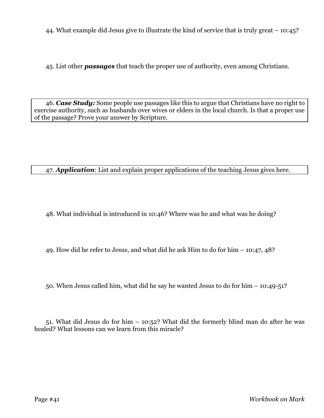44. What example did Jesus give to illustrate the kind of service that is truly great – 10:45?

45. List other *passages* that teach the proper use of authority, even among Christians.

46. *Case Study:* Some people use passages like this to argue that Christians have no right to exercise authority, such as husbands over wives or elders in the local church. Is that a proper use of the passage? Prove your answer by Scripture.

47. *Application*: List and explain proper applications of the teaching Jesus gives here.

48. What individual is introduced in 10:46? Where was he and what was he doing?

49. How did he refer to Jesus, and what did he ask Him to do for him – 10:47, 48?

50. When Jesus called him, what did he say he wanted Jesus to do for him – 10:49-51?

51. What did Jesus do for him – 10:52? What did the formerly blind man do after he was healed? What lessons can we learn from this miracle?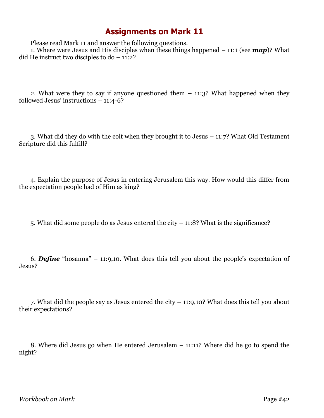Please read Mark 11 and answer the following questions.

1. Where were Jesus and His disciples when these things happened – 11:1 (see *map*)? What  $\text{did}$  He instruct two disciples to  $\text{do} - 11:2?$ 

2. What were they to say if anyone questioned them – 11:3? What happened when they followed Jesus' instructions – 11:4-6?

3. What did they do with the colt when they brought it to Jesus – 11:7? What Old Testament Scripture did this fulfill?

4. Explain the purpose of Jesus in entering Jerusalem this way. How would this differ from the expectation people had of Him as king?

5. What did some people do as Jesus entered the city – 11:8? What is the significance?

6. *Define* "hosanna" – 11:9,10. What does this tell you about the people's expectation of Jesus?

7. What did the people say as Jesus entered the city – 11:9,10? What does this tell you about their expectations?

8. Where did Jesus go when He entered Jerusalem – 11:11? Where did he go to spend the night?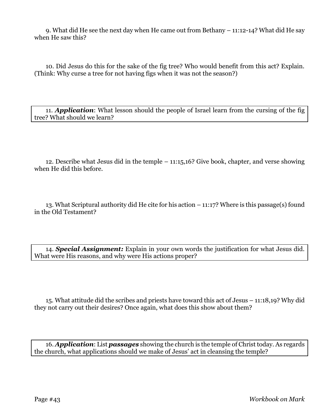9. What did He see the next day when He came out from Bethany – 11:12-14? What did He say when He saw this?

10. Did Jesus do this for the sake of the fig tree? Who would benefit from this act? Explain. (Think: Why curse a tree for not having figs when it was not the season?)

11. *Application*: What lesson should the people of Israel learn from the cursing of the fig tree? What should we learn?

12. Describe what Jesus did in the temple – 11:15,16? Give book, chapter, and verse showing when He did this before.

13. What Scriptural authority did He cite for his action – 11:17? Where is this passage(s) found in the Old Testament?

14. *Special Assignment:* Explain in your own words the justification for what Jesus did. What were His reasons, and why were His actions proper?

15. What attitude did the scribes and priests have toward this act of Jesus – 11:18,19? Why did they not carry out their desires? Once again, what does this show about them?

16. *Application*: List *passages* showing the church is the temple of Christ today. As regards the church, what applications should we make of Jesus' act in cleansing the temple?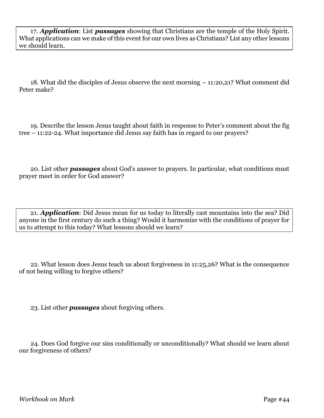17. *Application*: List *passages* showing that Christians are the temple of the Holy Spirit. What applications can we make of this event for our own lives as Christians? List any other lessons we should learn.

18. What did the disciples of Jesus observe the next morning – 11:20,21? What comment did Peter make?

19. Describe the lesson Jesus taught about faith in response to Peter's comment about the fig tree – 11:22-24. What importance did Jesus say faith has in regard to our prayers?

20. List other *passages* about God's answer to prayers. In particular, what conditions must prayer meet in order for God answer?

21. *Application*: Did Jesus mean for us today to literally cast mountains into the sea? Did anyone in the first century do such a thing? Would it harmonize with the conditions of prayer for us to attempt to this today? What lessons should we learn?

22. What lesson does Jesus teach us about forgiveness in 11:25,26? What is the consequence of not being willing to forgive others?

23. List other *passages* about forgiving others.

24. Does God forgive our sins conditionally or unconditionally? What should we learn about our forgiveness of others?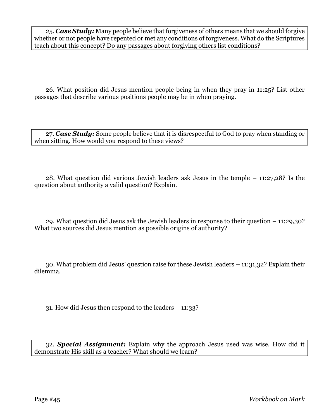25. *Case Study:* Many people believe that forgiveness of others means that we should forgive whether or not people have repented or met any conditions of forgiveness. What do the Scriptures teach about this concept? Do any passages about forgiving others list conditions?

26. What position did Jesus mention people being in when they pray in 11:25? List other passages that describe various positions people may be in when praying.

27. *Case Study:* Some people believe that it is disrespectful to God to pray when standing or when sitting. How would you respond to these views?

28. What question did various Jewish leaders ask Jesus in the temple – 11:27,28? Is the question about authority a valid question? Explain.

29. What question did Jesus ask the Jewish leaders in response to their question – 11:29,30? What two sources did Jesus mention as possible origins of authority?

30. What problem did Jesus' question raise for these Jewish leaders – 11:31,32? Explain their dilemma.

31. How did Jesus then respond to the leaders – 11:33?

32. *Special Assignment:* Explain why the approach Jesus used was wise. How did it demonstrate His skill as a teacher? What should we learn?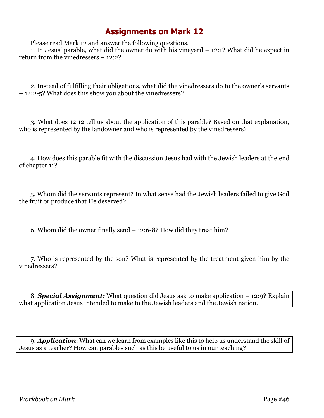Please read Mark 12 and answer the following questions.

1. In Jesus' parable, what did the owner do with his vineyard – 12:1? What did he expect in return from the vinedressers – 12:2?

2. Instead of fulfilling their obligations, what did the vinedressers do to the owner's servants – 12:2-5? What does this show you about the vinedressers?

3. What does 12:12 tell us about the application of this parable? Based on that explanation, who is represented by the landowner and who is represented by the vinedressers?

4. How does this parable fit with the discussion Jesus had with the Jewish leaders at the end of chapter 11?

5. Whom did the servants represent? In what sense had the Jewish leaders failed to give God the fruit or produce that He deserved?

6. Whom did the owner finally send – 12:6-8? How did they treat him?

7. Who is represented by the son? What is represented by the treatment given him by the vinedressers?

8. *Special Assignment:* What question did Jesus ask to make application – 12:9? Explain what application Jesus intended to make to the Jewish leaders and the Jewish nation.

9. *Application*: What can we learn from examples like this to help us understand the skill of Jesus as a teacher? How can parables such as this be useful to us in our teaching?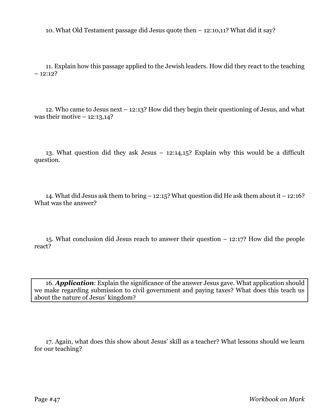10. What Old Testament passage did Jesus quote then – 12:10,11? What did it say?

11. Explain how this passage applied to the Jewish leaders. How did they react to the teaching  $-12:12?$ 

12. Who came to Jesus next – 12:13? How did they begin their questioning of Jesus, and what was their motive  $-12:13,14$ ?

13. What question did they ask Jesus – 12:14,15? Explain why this would be a difficult question.

14. What did Jesus ask them to bring – 12:15? What question did He ask them about it – 12:16? What was the answer?

15. What conclusion did Jesus reach to answer their question – 12:17? How did the people react?

16. *Application*: Explain the significance of the answer Jesus gave. What application should we make regarding submission to civil government and paying taxes? What does this teach us about the nature of Jesus' kingdom?

17. Again, what does this show about Jesus' skill as a teacher? What lessons should we learn for our teaching?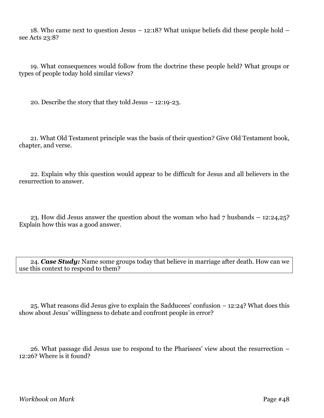18. Who came next to question Jesus – 12:18? What unique beliefs did these people hold – see Acts 23:8?

19. What consequences would follow from the doctrine these people held? What groups or types of people today hold similar views?

20. Describe the story that they told Jesus – 12:19-23.

21. What Old Testament principle was the basis of their question? Give Old Testament book, chapter, and verse.

22. Explain why this question would appear to be difficult for Jesus and all believers in the resurrection to answer.

23. How did Jesus answer the question about the woman who had 7 husbands – 12:24,25? Explain how this was a good answer.

24. *Case Study:* Name some groups today that believe in marriage after death. How can we use this context to respond to them?

25. What reasons did Jesus give to explain the Sadducees' confusion – 12:24? What does this show about Jesus' willingness to debate and confront people in error?

26. What passage did Jesus use to respond to the Pharisees' view about the resurrection – 12:26? Where is it found?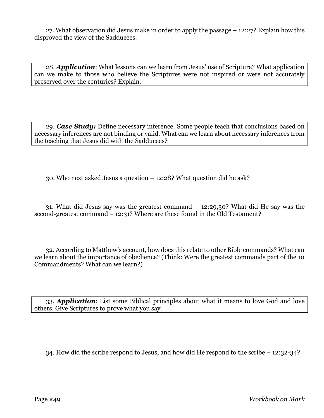27. What observation did Jesus make in order to apply the passage – 12:27? Explain how this disproved the view of the Sadducees.

28. *Application*: What lessons can we learn from Jesus' use of Scripture? What application can we make to those who believe the Scriptures were not inspired or were not accurately preserved over the centuries? Explain.

29. *Case Study:* Define necessary inference. Some people teach that conclusions based on necessary inferences are not binding or valid. What can we learn about necessary inferences from the teaching that Jesus did with the Sadducees?

30. Who next asked Jesus a question – 12:28? What question did he ask?

31. What did Jesus say was the greatest command – 12:29,30? What did He say was the second-greatest command – 12:31? Where are these found in the Old Testament?

32. According to Matthew's account, how does this relate to other Bible commands? What can we learn about the importance of obedience? (Think: Were the greatest commands part of the 10 Commandments? What can we learn?)

33. *Application*: List some Biblical principles about what it means to love God and love others. Give Scriptures to prove what you say.

34. How did the scribe respond to Jesus, and how did He respond to the scribe – 12:32-34?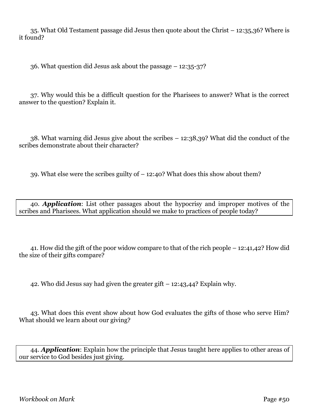35. What Old Testament passage did Jesus then quote about the Christ – 12:35,36? Where is it found?

36. What question did Jesus ask about the passage – 12:35-37?

37. Why would this be a difficult question for the Pharisees to answer? What is the correct answer to the question? Explain it.

38. What warning did Jesus give about the scribes – 12:38,39? What did the conduct of the scribes demonstrate about their character?

39. What else were the scribes guilty of  $-12:40$ ? What does this show about them?

40. *Application*: List other passages about the hypocrisy and improper motives of the scribes and Pharisees. What application should we make to practices of people today?

41. How did the gift of the poor widow compare to that of the rich people – 12:41,42? How did the size of their gifts compare?

42. Who did Jesus say had given the greater gift – 12:43,44? Explain why.

43. What does this event show about how God evaluates the gifts of those who serve Him? What should we learn about our giving?

44. *Application*: Explain how the principle that Jesus taught here applies to other areas of our service to God besides just giving.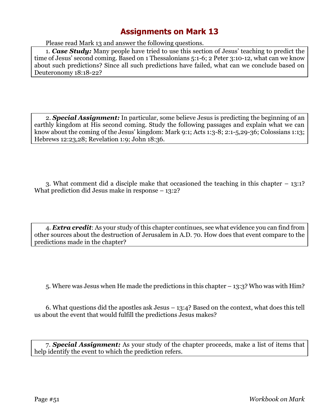Please read Mark 13 and answer the following questions.

1. *Case Study:* Many people have tried to use this section of Jesus' teaching to predict the time of Jesus' second coming. Based on 1 Thessalonians 5:1-6; 2 Peter 3:10-12, what can we know about such predictions? Since all such predictions have failed, what can we conclude based on Deuteronomy 18:18-22?

2. *Special Assignment:* In particular, some believe Jesus is predicting the beginning of an earthly kingdom at His second coming. Study the following passages and explain what we can know about the coming of the Jesus' kingdom: Mark 9:1; Acts 1:3-8; 2:1-5,29-36; Colossians 1:13; Hebrews 12:23,28; Revelation 1:9; John 18:36.

3. What comment did a disciple make that occasioned the teaching in this chapter – 13:1? What prediction did Jesus make in response – 13:2?

4. *Extra credit*: As your study of this chapter continues, see what evidence you can find from other sources about the destruction of Jerusalem in A.D. 70. How does that event compare to the predictions made in the chapter?

5. Where was Jesus when He made the predictions in this chapter – 13:3? Who was with Him?

6. What questions did the apostles ask Jesus – 13:4? Based on the context, what does this tell us about the event that would fulfill the predictions Jesus makes?

7. *Special Assignment:* As your study of the chapter proceeds, make a list of items that help identify the event to which the prediction refers.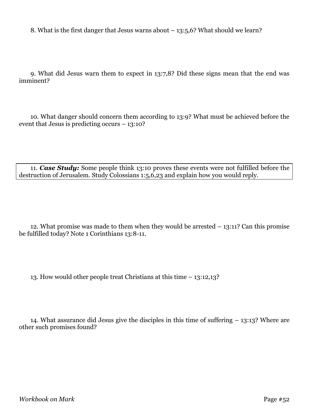8. What is the first danger that Jesus warns about – 13:5,6? What should we learn?

9. What did Jesus warn them to expect in 13:7,8? Did these signs mean that the end was imminent?

10. What danger should concern them according to 13:9? What must be achieved before the event that Jesus is predicting occurs – 13:10?

11. *Case Study:* Some people think 13:10 proves these events were not fulfilled before the destruction of Jerusalem. Study Colossians 1:5,6,23 and explain how you would reply.

12. What promise was made to them when they would be arrested – 13:11? Can this promise be fulfilled today? Note 1 Corinthians 13:8-11.

13. How would other people treat Christians at this time – 13:12,13?

14. What assurance did Jesus give the disciples in this time of suffering – 13:13? Where are other such promises found?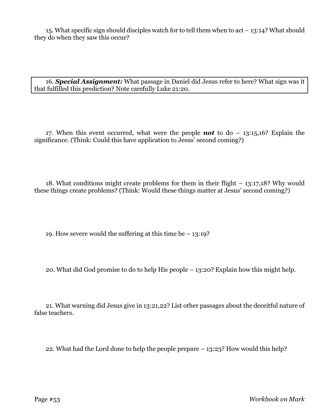15. What specific sign should disciples watch for to tell them when to act – 13:14? What should they do when they saw this occur?

16. *Special Assignment:* What passage in Daniel did Jesus refer to here? What sign was it that fulfilled this prediction? Note carefully Luke 21:20.

17. When this event occurred, what were the people *not* to do – 13:15,16? Explain the significance. (Think: Could this have application to Jesus' second coming?)

18. What conditions might create problems for them in their flight – 13:17,18? Why would these things create problems? (Think: Would these things matter at Jesus' second coming?)

19. How severe would the suffering at this time be  $-13:19$ ?

20. What did God promise to do to help His people – 13:20? Explain how this might help.

21. What warning did Jesus give in 13:21,22? List other passages about the deceitful nature of false teachers.

22. What had the Lord done to help the people prepare – 13:23? How would this help?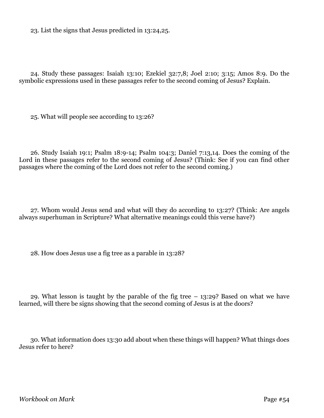23. List the signs that Jesus predicted in 13:24,25.

24. Study these passages: Isaiah 13:10; Ezekiel 32:7,8; Joel 2:10; 3:15; Amos 8:9. Do the symbolic expressions used in these passages refer to the second coming of Jesus? Explain.

25. What will people see according to 13:26?

26. Study Isaiah 19:1; Psalm 18:9-14; Psalm 104:3; Daniel 7:13,14. Does the coming of the Lord in these passages refer to the second coming of Jesus? (Think: See if you can find other passages where the coming of the Lord does not refer to the second coming.)

27. Whom would Jesus send and what will they do according to 13:27? (Think: Are angels always superhuman in Scripture? What alternative meanings could this verse have?)

28. How does Jesus use a fig tree as a parable in 13:28?

29. What lesson is taught by the parable of the fig tree – 13:29? Based on what we have learned, will there be signs showing that the second coming of Jesus is at the doors?

30. What information does 13:30 add about when these things will happen? What things does Jesus refer to here?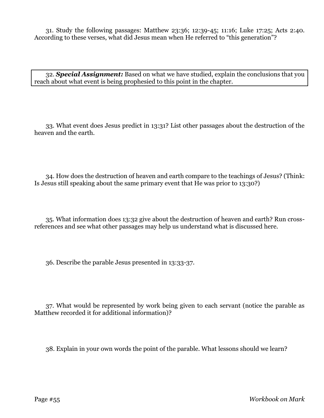31. Study the following passages: Matthew 23:36; 12:39-45; 11:16; Luke 17:25; Acts 2:40. According to these verses, what did Jesus mean when He referred to "this generation"?

32. *Special Assignment:* Based on what we have studied, explain the conclusions that you reach about what event is being prophesied to this point in the chapter.

33. What event does Jesus predict in 13:31? List other passages about the destruction of the heaven and the earth.

34. How does the destruction of heaven and earth compare to the teachings of Jesus? (Think: Is Jesus still speaking about the same primary event that He was prior to 13:30?)

35. What information does 13:32 give about the destruction of heaven and earth? Run crossreferences and see what other passages may help us understand what is discussed here.

36. Describe the parable Jesus presented in 13:33-37.

37. What would be represented by work being given to each servant (notice the parable as Matthew recorded it for additional information)?

38. Explain in your own words the point of the parable. What lessons should we learn?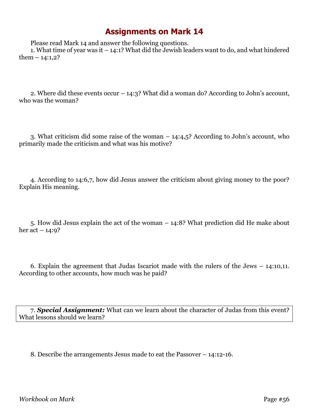Please read Mark 14 and answer the following questions.

1. What time of year was it – 14:1? What did the Jewish leaders want to do, and what hindered them  $-14:1,2?$ 

2. Where did these events occur – 14:3? What did a woman do? According to John's account, who was the woman?

3. What criticism did some raise of the woman – 14:4,5? According to John's account, who primarily made the criticism and what was his motive?

4. According to 14:6,7, how did Jesus answer the criticism about giving money to the poor? Explain His meaning.

5. How did Jesus explain the act of the woman – 14:8? What prediction did He make about her act  $-14:9$ ?

6. Explain the agreement that Judas Iscariot made with the rulers of the Jews – 14:10,11. According to other accounts, how much was he paid?

7. *Special Assignment:* What can we learn about the character of Judas from this event? What lessons should we learn?

8. Describe the arrangements Jesus made to eat the Passover – 14:12-16.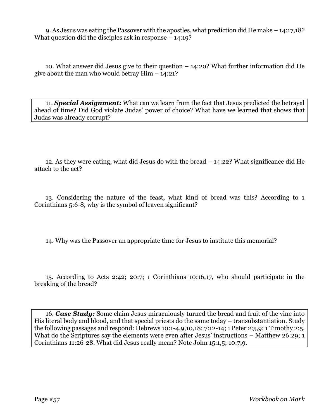9. As Jesus was eating the Passover with the apostles, what prediction did He make – 14:17,18? What question did the disciples ask in response – 14:19?

10. What answer did Jesus give to their question – 14:20? What further information did He give about the man who would betray  $\text{Him} - 14:21?$ 

11. *Special Assignment:* What can we learn from the fact that Jesus predicted the betrayal ahead of time? Did God violate Judas' power of choice? What have we learned that shows that Judas was already corrupt?

12. As they were eating, what did Jesus do with the bread – 14:22? What significance did He attach to the act?

13. Considering the nature of the feast, what kind of bread was this? According to 1 Corinthians 5:6-8, why is the symbol of leaven significant?

14. Why was the Passover an appropriate time for Jesus to institute this memorial?

15. According to Acts 2:42; 20:7; 1 Corinthians 10:16,17, who should participate in the breaking of the bread?

16. *Case Study:* Some claim Jesus miraculously turned the bread and fruit of the vine into His literal body and blood, and that special priests do the same today – transubstantiation. Study the following passages and respond: Hebrews 10:1-4,9,10,18; 7:12-14; 1 Peter 2:5,9; 1 Timothy 2:5. What do the Scriptures say the elements were even after Jesus' instructions – Matthew 26:29; 1 Corinthians 11:26-28. What did Jesus really mean? Note John 15:1,5; 10:7,9.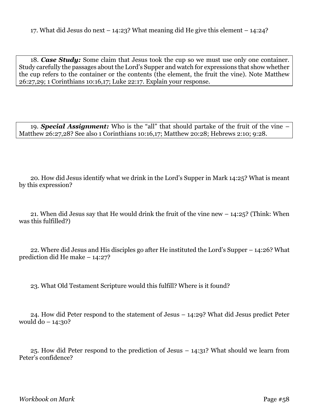18. *Case Study:* Some claim that Jesus took the cup so we must use only one container. Study carefully the passages about the Lord's Supper and watch for expressions that show whether the cup refers to the container or the contents (the element, the fruit the vine). Note Matthew 26:27,29; 1 Corinthians 10:16,17; Luke 22:17. Explain your response.

19. *Special Assignment:* Who is the "all" that should partake of the fruit of the vine – Matthew 26:27,28? See also 1 Corinthians 10:16,17; Matthew 20:28; Hebrews 2:10; 9:28.

20. How did Jesus identify what we drink in the Lord's Supper in Mark 14:25? What is meant by this expression?

21. When did Jesus say that He would drink the fruit of the vine new – 14:25? (Think: When was this fulfilled?)

22. Where did Jesus and His disciples go after He instituted the Lord's Supper – 14:26? What prediction did He make – 14:27?

23. What Old Testament Scripture would this fulfill? Where is it found?

24. How did Peter respond to the statement of Jesus – 14:29? What did Jesus predict Peter would do  $-14:30$ ?

25. How did Peter respond to the prediction of Jesus – 14:31? What should we learn from Peter's confidence?

*Workbook on Mark* Page #58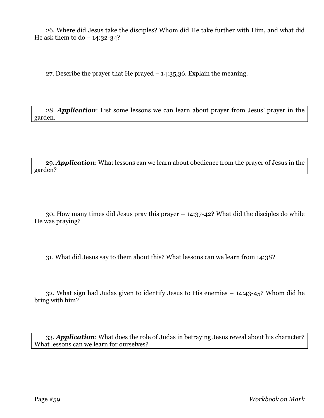26. Where did Jesus take the disciples? Whom did He take further with Him, and what did He ask them to do  $-$  14:32-34?

27. Describe the prayer that He prayed – 14:35,36. Explain the meaning.

28. *Application*: List some lessons we can learn about prayer from Jesus' prayer in the garden.

29. *Application*: What lessons can we learn about obedience from the prayer of Jesus in the garden?

30. How many times did Jesus pray this prayer – 14:37-42? What did the disciples do while He was praying?

31. What did Jesus say to them about this? What lessons can we learn from 14:38?

32. What sign had Judas given to identify Jesus to His enemies – 14:43-45? Whom did he bring with him?

33. *Application*: What does the role of Judas in betraying Jesus reveal about his character? What lessons can we learn for ourselves?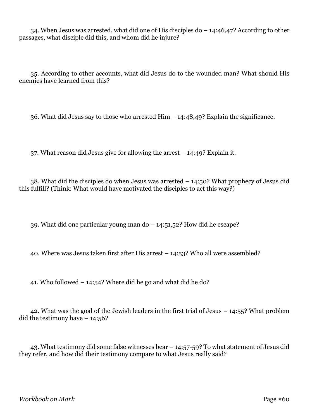34. When Jesus was arrested, what did one of His disciples do – 14:46,47? According to other passages, what disciple did this, and whom did he injure?

35. According to other accounts, what did Jesus do to the wounded man? What should His enemies have learned from this?

36. What did Jesus say to those who arrested Him – 14:48,49? Explain the significance.

37. What reason did Jesus give for allowing the arrest – 14:49? Explain it.

38. What did the disciples do when Jesus was arrested – 14:50? What prophecy of Jesus did this fulfill? (Think: What would have motivated the disciples to act this way?)

39. What did one particular young man do – 14:51,52? How did he escape?

40. Where was Jesus taken first after His arrest – 14:53? Who all were assembled?

41. Who followed – 14:54? Where did he go and what did he do?

42. What was the goal of the Jewish leaders in the first trial of Jesus – 14:55? What problem did the testimony have  $-14:56?$ 

43. What testimony did some false witnesses bear – 14:57-59? To what statement of Jesus did they refer, and how did their testimony compare to what Jesus really said?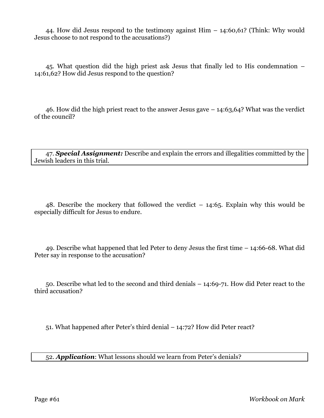44. How did Jesus respond to the testimony against Him – 14:60,61? (Think: Why would Jesus choose to not respond to the accusations?)

45. What question did the high priest ask Jesus that finally led to His condemnation – 14:61,62? How did Jesus respond to the question?

46. How did the high priest react to the answer Jesus gave – 14:63,64? What was the verdict of the council?

47. *Special Assignment:* Describe and explain the errors and illegalities committed by the Jewish leaders in this trial.

48. Describe the mockery that followed the verdict – 14:65. Explain why this would be especially difficult for Jesus to endure.

49. Describe what happened that led Peter to deny Jesus the first time – 14:66-68. What did Peter say in response to the accusation?

50. Describe what led to the second and third denials – 14:69-71. How did Peter react to the third accusation?

51. What happened after Peter's third denial – 14:72? How did Peter react?

52. *Application*: What lessons should we learn from Peter's denials?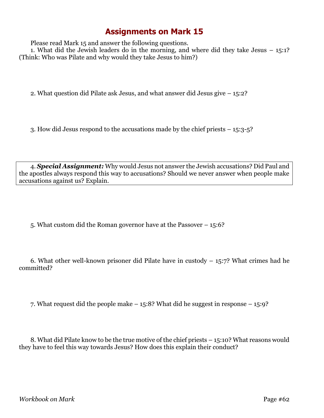Please read Mark 15 and answer the following questions.

1. What did the Jewish leaders do in the morning, and where did they take Jesus – 15:1? (Think: Who was Pilate and why would they take Jesus to him?)

2. What question did Pilate ask Jesus, and what answer did Jesus give – 15:2?

3. How did Jesus respond to the accusations made by the chief priests – 15:3-5?

4. *Special Assignment:* Why would Jesus not answer the Jewish accusations? Did Paul and the apostles always respond this way to accusations? Should we never answer when people make accusations against us? Explain.

5. What custom did the Roman governor have at the Passover – 15:6?

6. What other well-known prisoner did Pilate have in custody  $-15:7$ ? What crimes had he committed?

7. What request did the people make – 15:8? What did he suggest in response – 15:9?

8. What did Pilate know to be the true motive of the chief priests – 15:10? What reasons would they have to feel this way towards Jesus? How does this explain their conduct?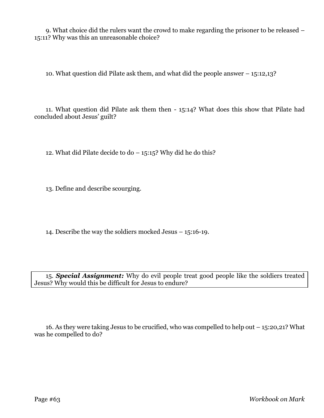9. What choice did the rulers want the crowd to make regarding the prisoner to be released – 15:11? Why was this an unreasonable choice?

10. What question did Pilate ask them, and what did the people answer – 15:12,13?

11. What question did Pilate ask them then - 15:14? What does this show that Pilate had concluded about Jesus' guilt?

12. What did Pilate decide to do  $-$  15:15? Why did he do this?

13. Define and describe scourging.

14. Describe the way the soldiers mocked Jesus – 15:16-19.

15. *Special Assignment:* Why do evil people treat good people like the soldiers treated Jesus? Why would this be difficult for Jesus to endure?

16. As they were taking Jesus to be crucified, who was compelled to help out – 15:20,21? What was he compelled to do?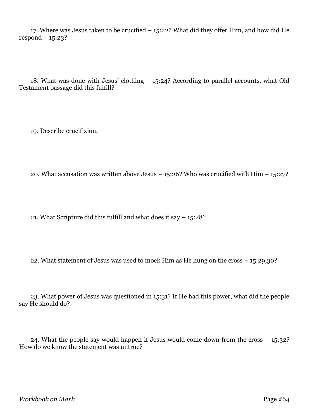17. Where was Jesus taken to be crucified – 15:22? What did they offer Him, and how did He respond – 15:23?

18. What was done with Jesus' clothing – 15:24? According to parallel accounts, what Old Testament passage did this fulfill?

19. Describe crucifixion.

20. What accusation was written above Jesus  $-$  15:26? Who was crucified with Him  $-$  15:27?

21. What Scripture did this fulfill and what does it say – 15:28?

22. What statement of Jesus was used to mock Him as He hung on the cross – 15:29,30?

23. What power of Jesus was questioned in 15:31? If He had this power, what did the people say He should do?

24. What the people say would happen if Jesus would come down from the cross – 15:32? How do we know the statement was untrue?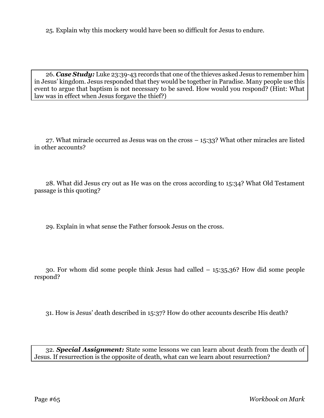25. Explain why this mockery would have been so difficult for Jesus to endure.

26. *Case Study:* Luke 23:39-43 records that one of the thieves asked Jesus to remember him in Jesus' kingdom. Jesus responded that they would be together in Paradise. Many people use this event to argue that baptism is not necessary to be saved. How would you respond? (Hint: What law was in effect when Jesus forgave the thief?)

27. What miracle occurred as Jesus was on the cross – 15:33? What other miracles are listed in other accounts?

28. What did Jesus cry out as He was on the cross according to 15:34? What Old Testament passage is this quoting?

29. Explain in what sense the Father forsook Jesus on the cross.

30. For whom did some people think Jesus had called – 15:35,36? How did some people respond?

31. How is Jesus' death described in 15:37? How do other accounts describe His death?

32. *Special Assignment:* State some lessons we can learn about death from the death of Jesus. If resurrection is the opposite of death, what can we learn about resurrection?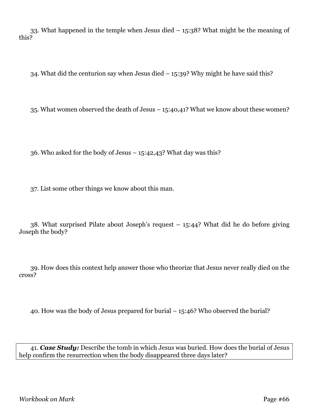33. What happened in the temple when Jesus died – 15:38? What might be the meaning of this?

34. What did the centurion say when Jesus died – 15:39? Why might he have said this?

35. What women observed the death of Jesus – 15:40,41? What we know about these women?

36. Who asked for the body of Jesus – 15:42,43? What day was this?

37. List some other things we know about this man.

38. What surprised Pilate about Joseph's request – 15:44? What did he do before giving Joseph the body?

39. How does this context help answer those who theorize that Jesus never really died on the cross?

40. How was the body of Jesus prepared for burial – 15:46? Who observed the burial?

41. *Case Study:* Describe the tomb in which Jesus was buried. How does the burial of Jesus help confirm the resurrection when the body disappeared three days later?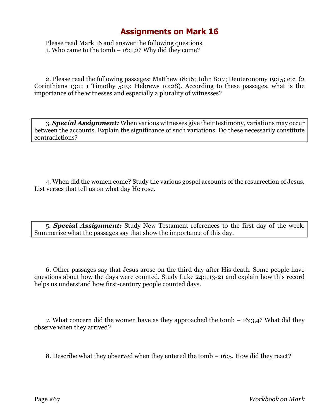Please read Mark 16 and answer the following questions. 1. Who came to the tomb  $-16:1,2$ ? Why did they come?

2. Please read the following passages: Matthew 18:16; John 8:17; Deuteronomy 19:15; etc. (2 Corinthians 13:1; 1 Timothy 5:19; Hebrews 10:28). According to these passages, what is the importance of the witnesses and especially a plurality of witnesses?

3. *Special Assignment:* When various witnesses give their testimony, variations may occur between the accounts. Explain the significance of such variations. Do these necessarily constitute contradictions?

4. When did the women come? Study the various gospel accounts of the resurrection of Jesus. List verses that tell us on what day He rose.

5. *Special Assignment:* Study New Testament references to the first day of the week. Summarize what the passages say that show the importance of this day.

6. Other passages say that Jesus arose on the third day after His death. Some people have questions about how the days were counted. Study Luke 24:1,13-21 and explain how this record helps us understand how first-century people counted days.

7. What concern did the women have as they approached the tomb – 16:3,4? What did they observe when they arrived?

8. Describe what they observed when they entered the tomb – 16:5. How did they react?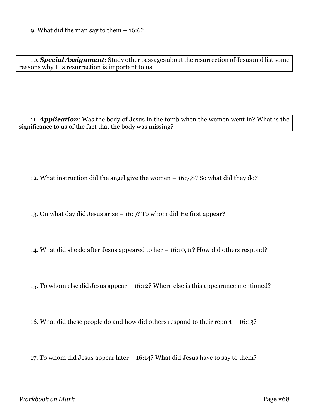10. *Special Assignment:* Study other passages about the resurrection of Jesus and list some reasons why His resurrection is important to us.

11. *Application*: Was the body of Jesus in the tomb when the women went in? What is the significance to us of the fact that the body was missing?

12. What instruction did the angel give the women – 16:7,8? So what did they do?

13. On what day did Jesus arise – 16:9? To whom did He first appear?

14. What did she do after Jesus appeared to her – 16:10,11? How did others respond?

15. To whom else did Jesus appear – 16:12? Where else is this appearance mentioned?

16. What did these people do and how did others respond to their report – 16:13?

17. To whom did Jesus appear later – 16:14? What did Jesus have to say to them?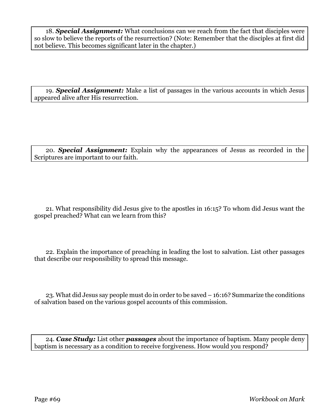18. *Special Assignment:* What conclusions can we reach from the fact that disciples were so slow to believe the reports of the resurrection? (Note: Remember that the disciples at first did not believe. This becomes significant later in the chapter.)

19. *Special Assignment:* Make a list of passages in the various accounts in which Jesus appeared alive after His resurrection.

20. *Special Assignment:* Explain why the appearances of Jesus as recorded in the Scriptures are important to our faith.

21. What responsibility did Jesus give to the apostles in 16:15? To whom did Jesus want the gospel preached? What can we learn from this?

22. Explain the importance of preaching in leading the lost to salvation. List other passages that describe our responsibility to spread this message.

23. What did Jesus say people must do in order to be saved – 16:16? Summarize the conditions of salvation based on the various gospel accounts of this commission.

24. *Case Study:* List other *passages* about the importance of baptism. Many people deny baptism is necessary as a condition to receive forgiveness. How would you respond?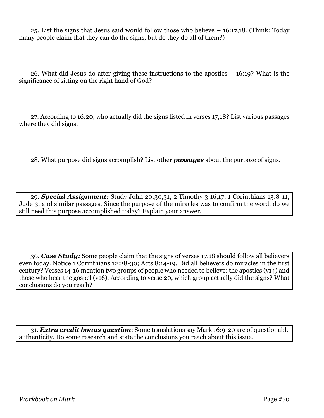25. List the signs that Jesus said would follow those who believe – 16:17,18. (Think: Today many people claim that they can do the signs, but do they do all of them?)

26. What did Jesus do after giving these instructions to the apostles – 16:19? What is the significance of sitting on the right hand of God?

27. According to 16:20, who actually did the signs listed in verses 17,18? List various passages where they did signs.

28. What purpose did signs accomplish? List other *passages* about the purpose of signs.

29. *Special Assignment:* Study John 20:30,31; 2 Timothy 3:16,17; 1 Corinthians 13:8-11; Jude 3; and similar passages. Since the purpose of the miracles was to confirm the word, do we still need this purpose accomplished today? Explain your answer.

30. *Case Study:* Some people claim that the signs of verses 17,18 should follow all believers even today. Notice 1 Corinthians 12:28-30; Acts 8:14-19. Did all believers do miracles in the first century? Verses 14-16 mention two groups of people who needed to believe: the apostles (v14) and those who hear the gospel (v16). According to verse 20, which group actually did the signs? What conclusions do you reach?

31. *Extra credit bonus question*: Some translations say Mark 16:9-20 are of questionable authenticity. Do some research and state the conclusions you reach about this issue.